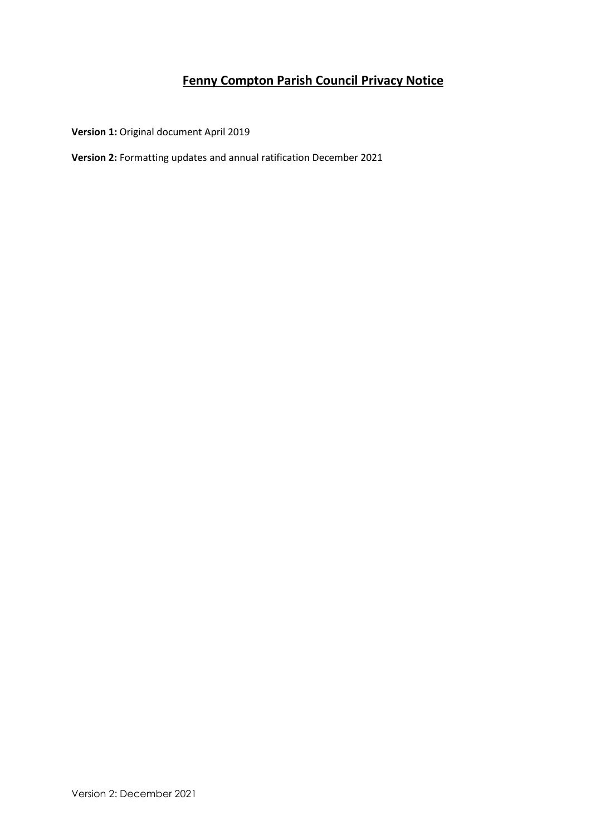# **Fenny Compton Parish Council Privacy Notice**

**Version 1:** Original document April 2019

**Version 2:** Formatting updates and annual ratification December 2021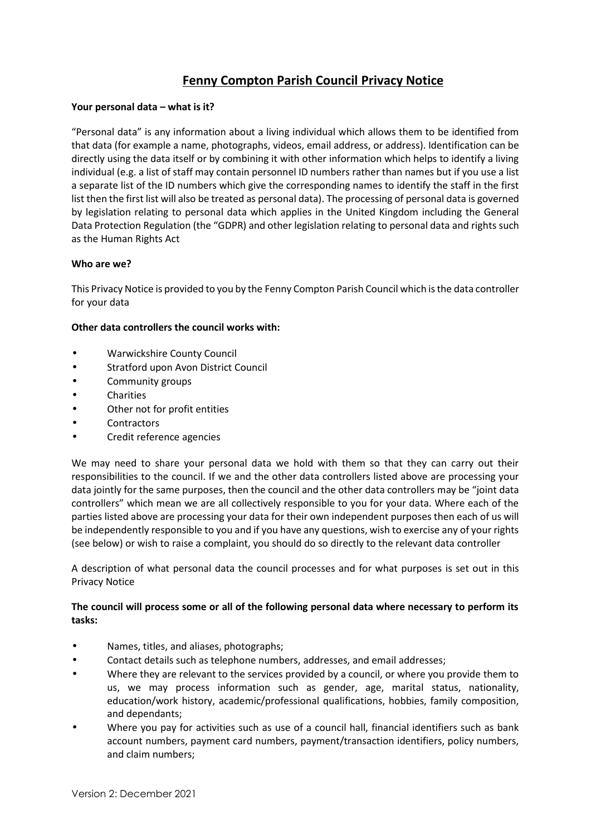## **Fenny Compton Parish Council Privacy Notice**

## **Your personal data – what is it?**

"Personal data" is any information about a living individual which allows them to be identified from that data (for example a name, photographs, videos, email address, or address). Identification can be directly using the data itself or by combining it with other information which helps to identify a living individual (e.g. a list of staff may contain personnel ID numbers rather than names but if you use a list a separate list of the ID numbers which give the corresponding names to identify the staff in the first list then the first list will also be treated as personal data). The processing of personal data is governed by legislation relating to personal data which applies in the United Kingdom including the General Data Protection Regulation (the "GDPR) and other legislation relating to personal data and rights such as the Human Rights Act

## **Who are we?**

This Privacy Notice is provided to you by the Fenny Compton Parish Council which is the data controller for your data

## **Other data controllers the council works with:**

- Warwickshire County Council
- Stratford upon Avon District Council
- Community groups
- Charities
- Other not for profit entities
- **Contractors**
- Credit reference agencies

We may need to share your personal data we hold with them so that they can carry out their responsibilities to the council. If we and the other data controllers listed above are processing your data jointly for the same purposes, then the council and the other data controllers may be "joint data controllers" which mean we are all collectively responsible to you for your data. Where each of the parties listed above are processing your data for their own independent purposes then each of us will be independently responsible to you and if you have any questions, wish to exercise any of your rights (see below) or wish to raise a complaint, you should do so directly to the relevant data controller

A description of what personal data the council processes and for what purposes is set out in this Privacy Notice

## **The council will process some or all of the following personal data where necessary to perform its tasks:**

- Names, titles, and aliases, photographs;
- Contact details such as telephone numbers, addresses, and email addresses;
- Where they are relevant to the services provided by a council, or where you provide them to us, we may process information such as gender, age, marital status, nationality, education/work history, academic/professional qualifications, hobbies, family composition, and dependants;
- Where you pay for activities such as use of a council hall, financial identifiers such as bank account numbers, payment card numbers, payment/transaction identifiers, policy numbers, and claim numbers;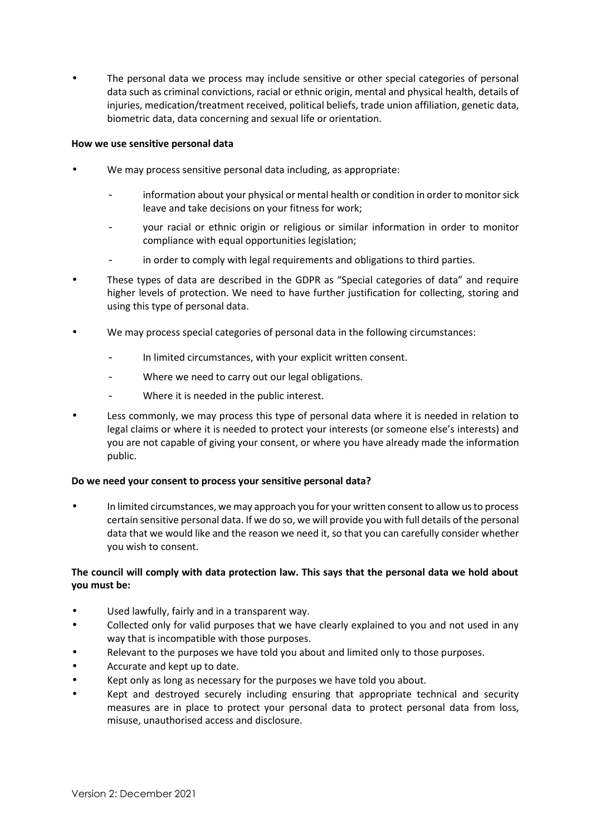The personal data we process may include sensitive or other special categories of personal data such as criminal convictions, racial or ethnic origin, mental and physical health, details of injuries, medication/treatment received, political beliefs, trade union affiliation, genetic data, biometric data, data concerning and sexual life or orientation.

### **How we use sensitive personal data**

- We may process sensitive personal data including, as appropriate:
	- information about your physical or mental health or condition in order to monitor sick leave and take decisions on your fitness for work;
	- your racial or ethnic origin or religious or similar information in order to monitor compliance with equal opportunities legislation;
	- in order to comply with legal requirements and obligations to third parties.
- These types of data are described in the GDPR as "Special categories of data" and require higher levels of protection. We need to have further justification for collecting, storing and using this type of personal data.
- We may process special categories of personal data in the following circumstances:
	- In limited circumstances, with your explicit written consent.
	- Where we need to carry out our legal obligations.
	- Where it is needed in the public interest.
- Less commonly, we may process this type of personal data where it is needed in relation to legal claims or where it is needed to protect your interests (or someone else's interests) and you are not capable of giving your consent, or where you have already made the information public.

#### **Do we need your consent to process your sensitive personal data?**

 In limited circumstances, we may approach you for your written consent to allow us to process certain sensitive personal data. If we do so, we will provide you with full details of the personal data that we would like and the reason we need it, so that you can carefully consider whether you wish to consent.

## **The council will comply with data protection law. This says that the personal data we hold about you must be:**

- Used lawfully, fairly and in a transparent way.
- Collected only for valid purposes that we have clearly explained to you and not used in any way that is incompatible with those purposes.
- Relevant to the purposes we have told you about and limited only to those purposes.
- Accurate and kept up to date.
- Kept only as long as necessary for the purposes we have told you about.
- Kept and destroyed securely including ensuring that appropriate technical and security measures are in place to protect your personal data to protect personal data from loss, misuse, unauthorised access and disclosure.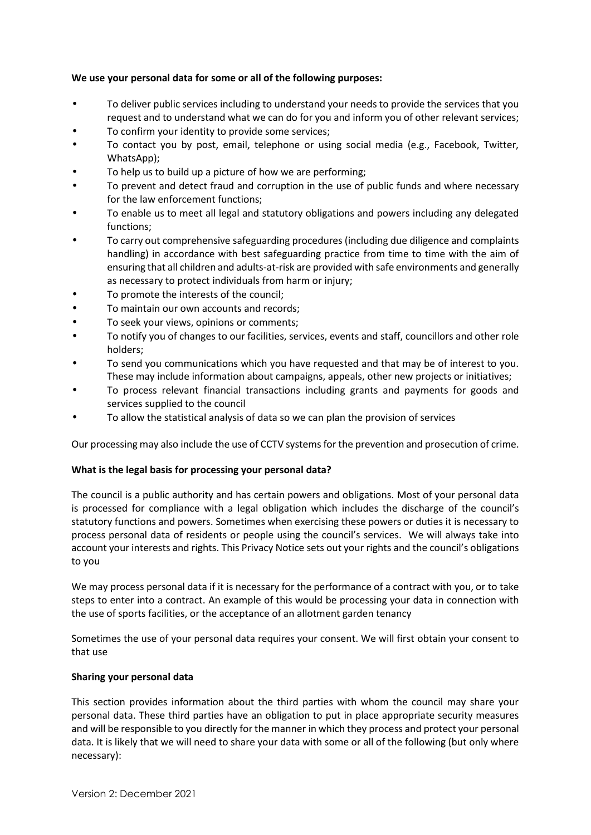## **We use your personal data for some or all of the following purposes:**

- To deliver public services including to understand your needs to provide the services that you request and to understand what we can do for you and inform you of other relevant services;
- To confirm your identity to provide some services;
- To contact you by post, email, telephone or using social media (e.g., Facebook, Twitter, WhatsApp);
- To help us to build up a picture of how we are performing;
- To prevent and detect fraud and corruption in the use of public funds and where necessary for the law enforcement functions;
- To enable us to meet all legal and statutory obligations and powers including any delegated functions;
- To carry out comprehensive safeguarding procedures (including due diligence and complaints handling) in accordance with best safeguarding practice from time to time with the aim of ensuring that all children and adults-at-risk are provided with safe environments and generally as necessary to protect individuals from harm or injury;
- To promote the interests of the council;
- To maintain our own accounts and records;
- To seek your views, opinions or comments;
- To notify you of changes to our facilities, services, events and staff, councillors and other role holders;
- To send you communications which you have requested and that may be of interest to you. These may include information about campaigns, appeals, other new projects or initiatives;
- To process relevant financial transactions including grants and payments for goods and services supplied to the council
- To allow the statistical analysis of data so we can plan the provision of services

Our processing may also include the use of CCTV systems for the prevention and prosecution of crime.

#### **What is the legal basis for processing your personal data?**

The council is a public authority and has certain powers and obligations. Most of your personal data is processed for compliance with a legal obligation which includes the discharge of the council's statutory functions and powers. Sometimes when exercising these powers or duties it is necessary to process personal data of residents or people using the council's services. We will always take into account your interests and rights. This Privacy Notice sets out your rights and the council's obligations to you

We may process personal data if it is necessary for the performance of a contract with you, or to take steps to enter into a contract. An example of this would be processing your data in connection with the use of sports facilities, or the acceptance of an allotment garden tenancy

Sometimes the use of your personal data requires your consent. We will first obtain your consent to that use

#### **Sharing your personal data**

This section provides information about the third parties with whom the council may share your personal data. These third parties have an obligation to put in place appropriate security measures and will be responsible to you directly for the manner in which they process and protect your personal data. It is likely that we will need to share your data with some or all of the following (but only where necessary):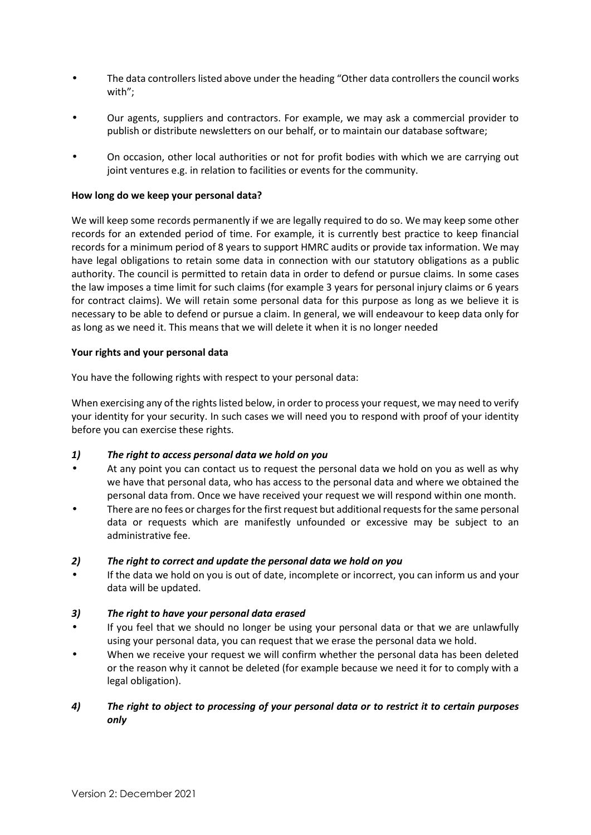- The data controllers listed above under the heading "Other data controllers the council works with";
- Our agents, suppliers and contractors. For example, we may ask a commercial provider to publish or distribute newsletters on our behalf, or to maintain our database software;
- On occasion, other local authorities or not for profit bodies with which we are carrying out joint ventures e.g. in relation to facilities or events for the community.

#### **How long do we keep your personal data?**

We will keep some records permanently if we are legally required to do so. We may keep some other records for an extended period of time. For example, it is currently best practice to keep financial records for a minimum period of 8 years to support HMRC audits or provide tax information. We may have legal obligations to retain some data in connection with our statutory obligations as a public authority. The council is permitted to retain data in order to defend or pursue claims. In some cases the law imposes a time limit for such claims (for example 3 years for personal injury claims or 6 years for contract claims). We will retain some personal data for this purpose as long as we believe it is necessary to be able to defend or pursue a claim. In general, we will endeavour to keep data only for as long as we need it. This means that we will delete it when it is no longer needed

#### **Your rights and your personal data**

You have the following rights with respect to your personal data:

When exercising any of the rights listed below, in order to process your request, we may need to verify your identity for your security. In such cases we will need you to respond with proof of your identity before you can exercise these rights.

#### *1) The right to access personal data we hold on you*

- At any point you can contact us to request the personal data we hold on you as well as why we have that personal data, who has access to the personal data and where we obtained the personal data from. Once we have received your request we will respond within one month.
- There are no fees or charges for the first request but additional requests for the same personal data or requests which are manifestly unfounded or excessive may be subject to an administrative fee.

#### *2) The right to correct and update the personal data we hold on you*

 If the data we hold on you is out of date, incomplete or incorrect, you can inform us and your data will be updated.

#### *3) The right to have your personal data erased*

- If you feel that we should no longer be using your personal data or that we are unlawfully using your personal data, you can request that we erase the personal data we hold.
- When we receive your request we will confirm whether the personal data has been deleted or the reason why it cannot be deleted (for example because we need it for to comply with a legal obligation).

## *4) The right to object to processing of your personal data or to restrict it to certain purposes only*